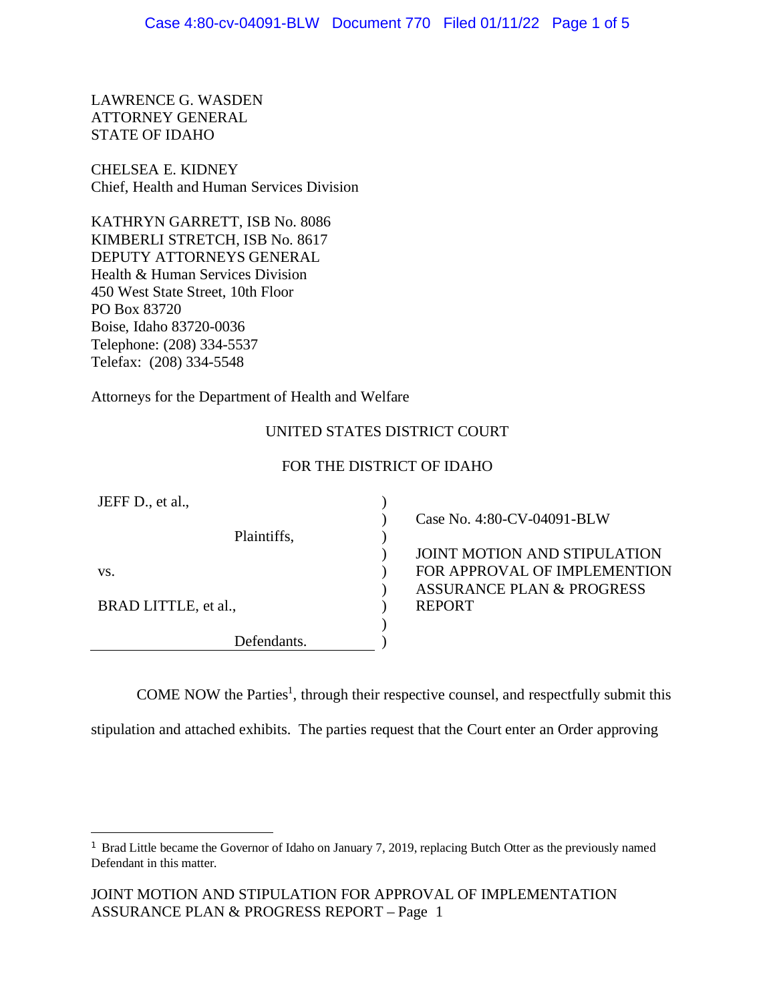LAWRENCE G. WASDEN ATTORNEY GENERAL STATE OF IDAHO

CHELSEA E. KIDNEY Chief, Health and Human Services Division

KATHRYN GARRETT, ISB No. 8086 KIMBERLI STRETCH, ISB No. 8617 DEPUTY ATTORNEYS GENERAL Health & Human Services Division 450 West State Street, 10th Floor PO Box 83720 Boise, Idaho 83720-0036 Telephone: (208) 334-5537 Telefax: (208) 334-5548

Attorneys for the Department of Health and Welfare

# UNITED STATES DISTRICT COURT

#### FOR THE DISTRICT OF IDAHO

| JEFF D., et al.,     |                     |
|----------------------|---------------------|
|                      | Case No. 4:80-CV    |
| Plaintiffs,          |                     |
|                      | <b>JOINT MOTION</b> |
| VS.                  | <b>FOR APPROVAL</b> |
|                      | <b>ASSURANCE PL</b> |
| BRAD LITTLE, et al., | <b>REPORT</b>       |
|                      |                     |
| Defendants.          |                     |

 $-04091-BLW$ 

AND STIPULATION **COF IMPLEMENTION** AN & PROGRESS

COME NOW the Parties<sup>[1](#page-0-0)</sup>, through their respective counsel, and respectfully submit this

stipulation and attached exhibits. The parties request that the Court enter an Order approving

<span id="page-0-0"></span><sup>&</sup>lt;sup>1</sup> Brad Little became the Governor of Idaho on January 7, 2019, replacing Butch Otter as the previously named Defendant in this matter.

JOINT MOTION AND STIPULATION FOR APPROVAL OF IMPLEMENTATION ASSURANCE PLAN & PROGRESS REPORT – Page 1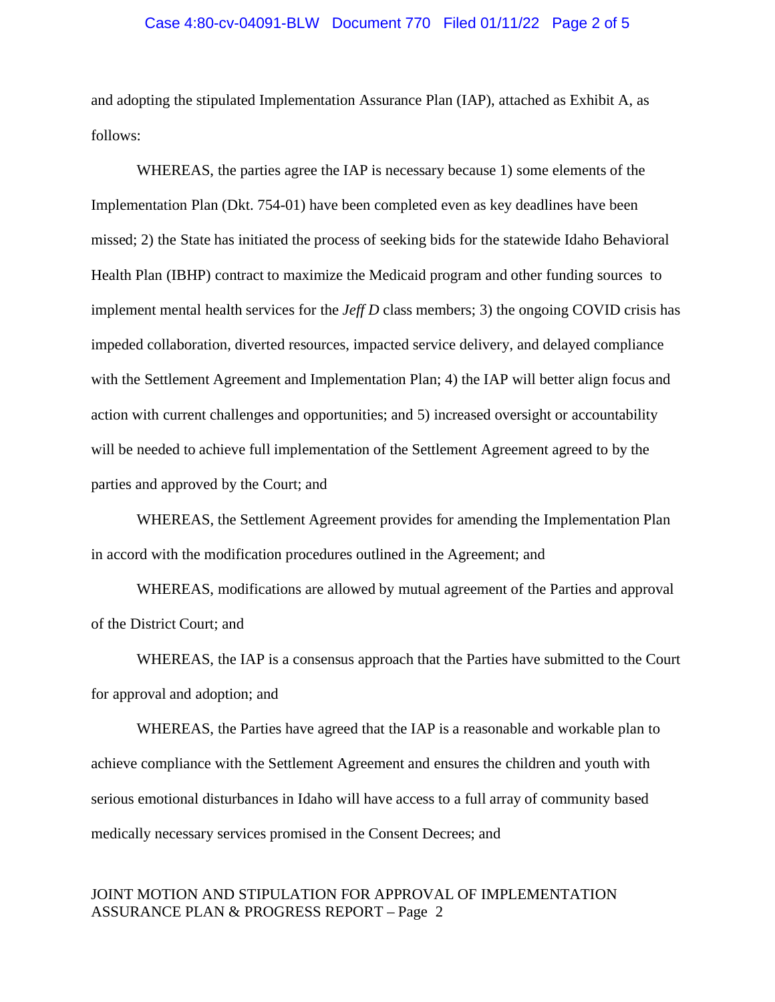#### Case 4:80-cv-04091-BLW Document 770 Filed 01/11/22 Page 2 of 5

and adopting the stipulated Implementation Assurance Plan (IAP), attached as Exhibit A, as follows:

WHEREAS, the parties agree the IAP is necessary because 1) some elements of the Implementation Plan (Dkt. 754-01) have been completed even as key deadlines have been missed; 2) the State has initiated the process of seeking bids for the statewide Idaho Behavioral Health Plan (IBHP) contract to maximize the Medicaid program and other funding sources to implement mental health services for the *Jeff D* class members; 3) the ongoing COVID crisis has impeded collaboration, diverted resources, impacted service delivery, and delayed compliance with the Settlement Agreement and Implementation Plan; 4) the IAP will better align focus and action with current challenges and opportunities; and 5) increased oversight or accountability will be needed to achieve full implementation of the Settlement Agreement agreed to by the parties and approved by the Court; and

WHEREAS, the Settlement Agreement provides for amending the Implementation Plan in accord with the modification procedures outlined in the Agreement; and

WHEREAS, modifications are allowed by mutual agreement of the Parties and approval of the District Court; and

WHEREAS, the IAP is a consensus approach that the Parties have submitted to the Court for approval and adoption; and

WHEREAS, the Parties have agreed that the IAP is a reasonable and workable plan to achieve compliance with the Settlement Agreement and ensures the children and youth with serious emotional disturbances in Idaho will have access to a full array of community based medically necessary services promised in the Consent Decrees; and

# JOINT MOTION AND STIPULATION FOR APPROVAL OF IMPLEMENTATION ASSURANCE PLAN & PROGRESS REPORT – Page 2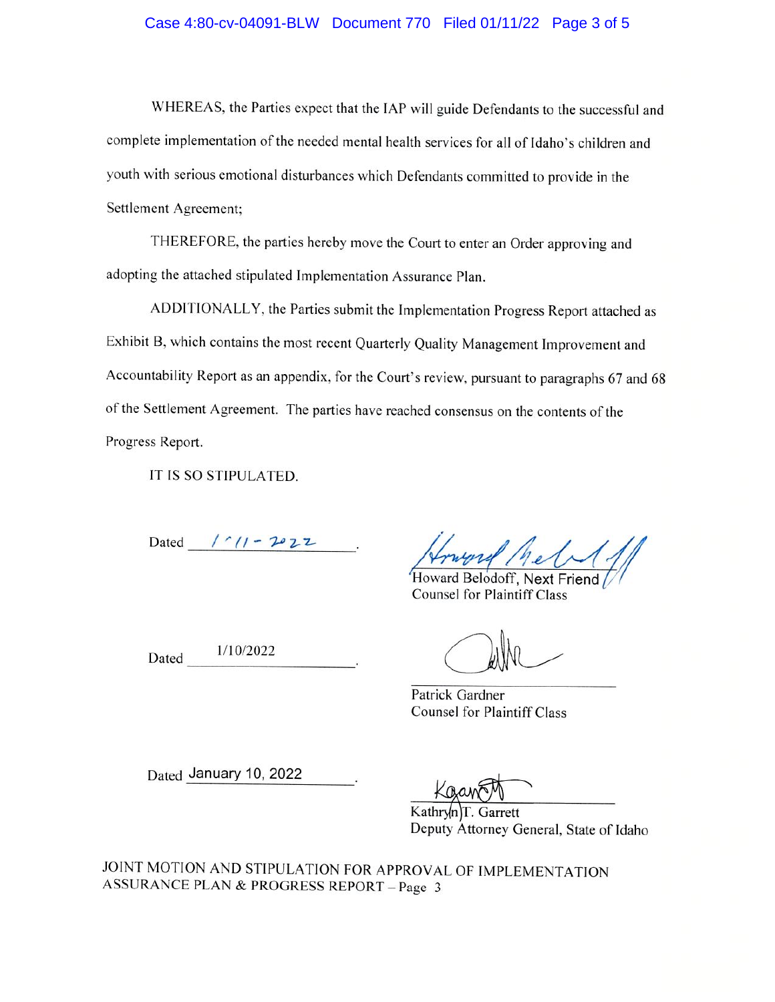#### Case 4:80-cv-04091-BLW Document 770 Filed 01/11/22 Page 3 of 5

WHEREAS, the Parties expect that the IAP will guide Defendants to the successful and complete implementation of the needed mental health services for all of Idaho's children and youth with serious emotional disturbances which Defendants committed to provide in the Settlement Agreement;

THEREFORE, the parties hereby move the Court to enter an Order approving and adopting the attached stipulated Implementation Assurance Plan.

ADDITIONALLY, the Parties submit the Implementation Progress Report attached as Exhibit B, which contains the most recent Quarterly Quality Management Improvement and Accountability Report as an appendix, for the Court's review, pursuant to paragraphs 67 and 68 of the Settlement Agreement. The parties have reached consensus on the contents of the Progress Report.

IT IS SO STIPULATED.

Dated / 11 - 2022

Howard Belodoff, Next Friend **Counsel for Plaintiff Class** 

1/10/2022 Dated

Patrick Gardner **Counsel for Plaintiff Class** 

Dated January 10, 2022

Kathryn Garrett Deputy Attorney General, State of Idaho

JOINT MOTION AND STIPULATION FOR APPROVAL OF IMPLEMENTATION **ASSURANCE PLAN & PROGRESS REPORT - Page 3**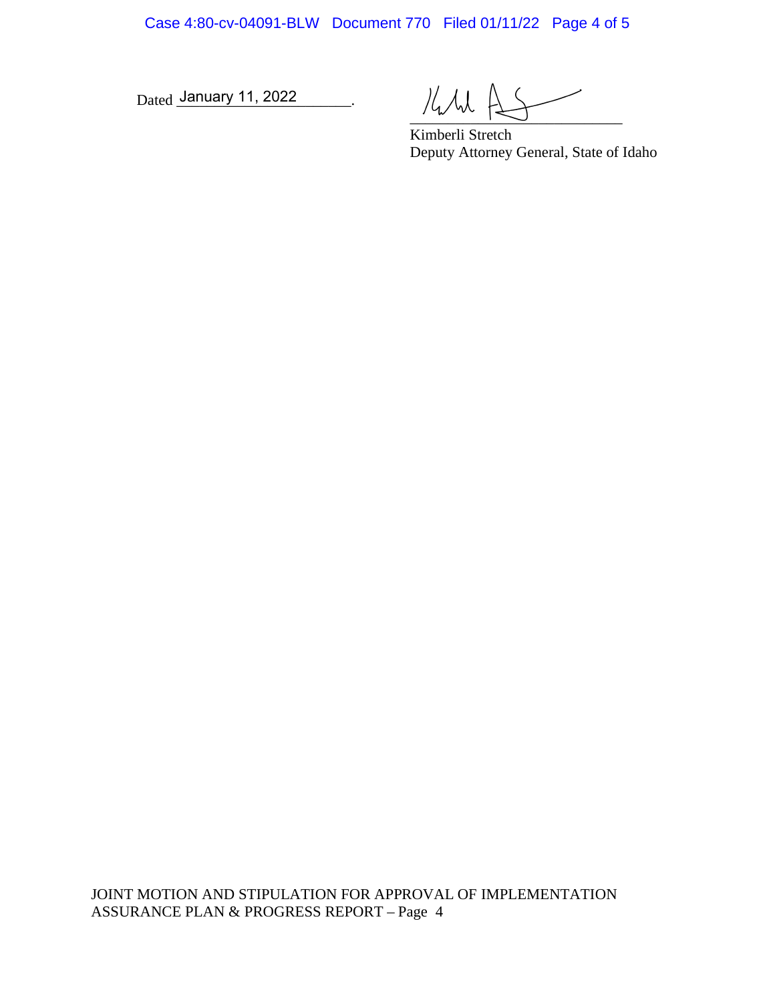Case 4:80-cv-04091-BLW Document 770 Filed 01/11/22 Page 4 of 5

Dated January 11, 2022

 $\mathcal{H}_{\mathcal{M}}$ 

Kimberli Stretch Deputy Attorney General, State of Idaho

JOINT MOTION AND STIPULATION FOR APPROVAL OF IMPLEMENTATION ASSURANCE PLAN & PROGRESS REPORT – Page 4